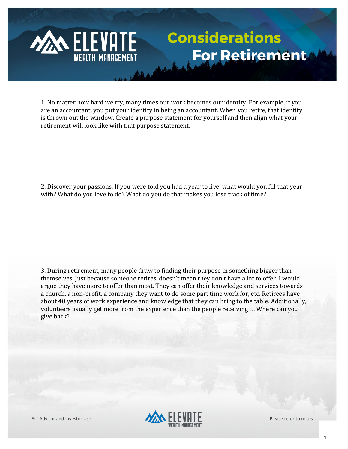## **Considerations For Retirement**

1. No matter how hard we try, many times our work becomes our identity. For example, if you are an accountant, you put your identity in being an accountant. When you retire, that identity is thrown out the window. Create a purpose statement for yourself and then align what your retirement will look like with that purpose statement.

2. Discover your passions. If you were told you had a year to live, what would you fill that year with? What do you love to do? What do you do that makes you lose track of time?

3. During retirement, many people draw to finding their purpose in something bigger than themselves. Just because someone retires, doesn't mean they don't have a lot to offer. I would argue they have more to offer than most. They can offer their knowledge and services towards a church, a non-profit, a company they want to do some part time work for, etc. Retirees have about 40 years of work experience and knowledge that they can bring to the table. Additionally, volunteers usually get more from the experience than the people receiving it. Where can you give back?

**MAN ELEVATE** 

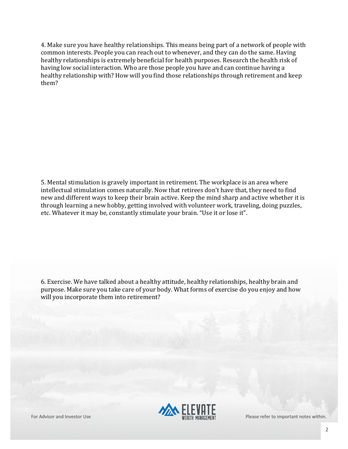4. Make sure you have healthy relationships. This means being part of a network of people with common interests. People you can reach out to whenever, and they can do the same. Having healthy relationships is extremely beneficial for health purposes. Research the health risk of having low social interaction. Who are those people you have and can continue having a healthy relationship with? How will you find those relationships through retirement and keep them?

5. Mental stimulation is gravely important in retirement. The workplace is an area where intellectual stimulation comes naturally. Now that retirees don't have that, they need to find new and different ways to keep their brain active. Keep the mind sharp and active whether it is through learning a new hobby, getting involved with volunteer work, traveling, doing puzzles, etc. Whatever it may be, constantly stimulate your brain. "Use it or lose it".

6. Exercise. We have talked about a healthy attitude, healthy relationships, healthy brain and purpose. Make sure you take care of your body. What forms of exercise do you enjoy and how will you incorporate them into retirement?

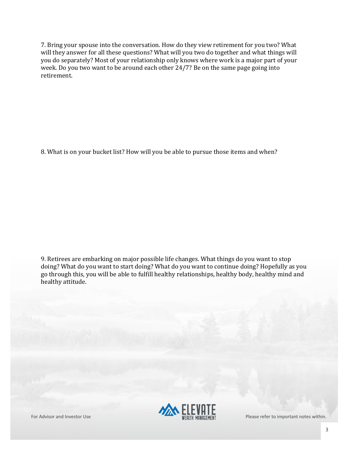7. Bring your spouse into the conversation. How do they view retirement for you two? What will they answer for all these questions? What will you two do together and what things will you do separately? Most of your relationship only knows where work is a major part of your week. Do you two want to be around each other 24/7? Be on the same page going into retirement.

8. What is on your bucket list? How will you be able to pursue those items and when?

9. Retirees are embarking on major possible life changes. What things do you want to stop doing? What do you want to start doing? What do you want to continue doing? Hopefully as you go through this, you will be able to fulfill healthy relationships, healthy body, healthy mind and healthy attitude.